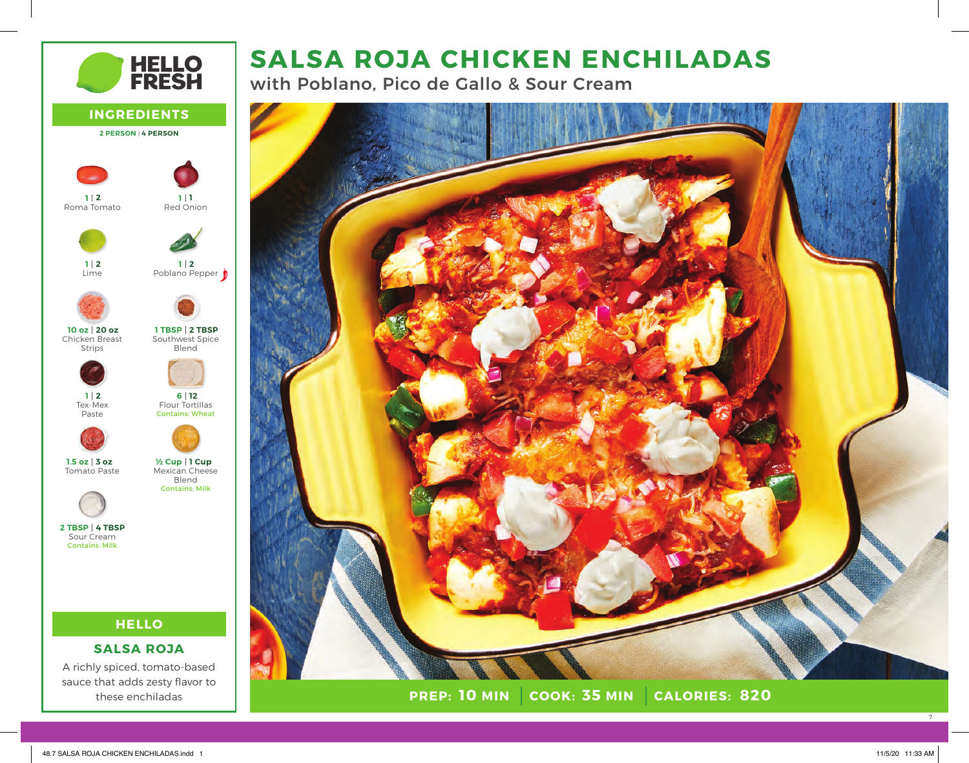# **SALSA ROJA CHICKEN ENCHILADAS**

with Poblano, Pico de Gallo & Sour Cream



**PREP: 10 MIN COOK: 35 MIN 10 MIN 35 MIN 820**



7